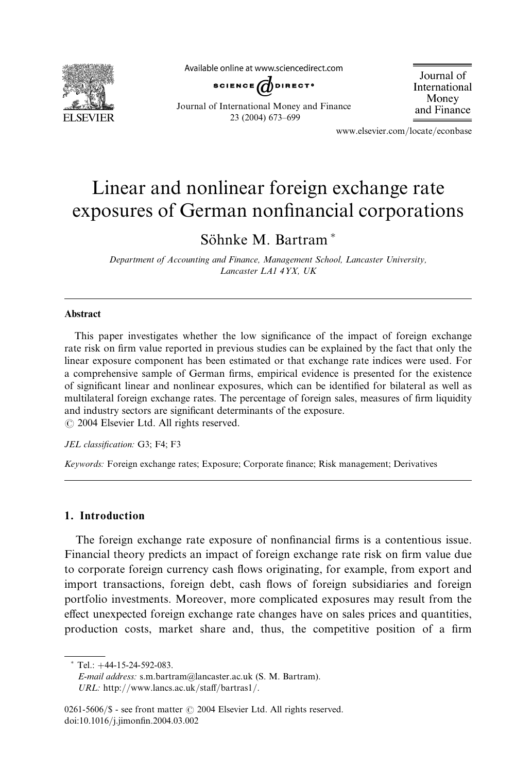

Available online at www.sciencedirect.com



Journal of International Money and Finance

Journal of International Money and Finance 23 (2004) 673–699

www.elsevier.com/locate/econbase

## Linear and nonlinear foreign exchange rate exposures of German nonfinancial corporations

Söhnke M. Bartram<sup>\*</sup>

Department of Accounting and Finance, Management School, Lancaster University, Lancaster LA1 4YX, UK

## Abstract

This paper investigates whether the low significance of the impact of foreign exchange rate risk on firm value reported in previous studies can be explained by the fact that only the linear exposure component has been estimated or that exchange rate indices were used. For a comprehensive sample of German firms, empirical evidence is presented for the existence of significant linear and nonlinear exposures, which can be identified for bilateral as well as multilateral foreign exchange rates. The percentage of foreign sales, measures of firm liquidity and industry sectors are significant determinants of the exposure.  $\odot$  2004 Elsevier Ltd. All rights reserved.

JEL classification: G3; F4; F3

Keywords: Foreign exchange rates; Exposure; Corporate finance; Risk management; Derivatives

## 1. Introduction

The foreign exchange rate exposure of nonfinancial firms is a contentious issue. Financial theory predicts an impact of foreign exchange rate risk on firm value due to corporate foreign currency cash flows originating, for example, from export and import transactions, foreign debt, cash flows of foreign subsidiaries and foreign portfolio investments. Moreover, more complicated exposures may result from the effect unexpected foreign exchange rate changes have on sales prices and quantities, production costs, market share and, thus, the competitive position of a firm

 $Tel.: +44-15-24-592-083.$ 

E-mail address: s.m.bartram@lancaster.ac.uk (S. M. Bartram). URL: http://www.lancs.ac.uk/staff/bartras1/.

<sup>0261-5606/</sup> $\$  - see front matter  $\odot$  2004 Elsevier Ltd. All rights reserved. doi:10.1016/j.jimonfin.2004.03.002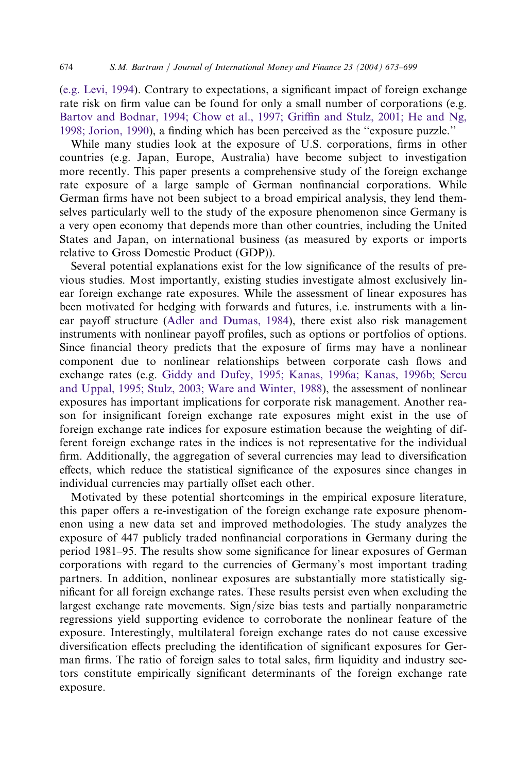([e.g. Levi, 1994\)](#page--1-0). Contrary to expectations, a significant impact of foreign exchange rate risk on firm value can be found for only a small number of corporations (e.g. [Bartov and Bodnar, 1994; Chow et al., 1997; Griffin and Stulz, 2001; He and Ng,](#page--1-0) [1998; Jorion, 1990](#page--1-0)), a finding which has been perceived as the ''exposure puzzle.''

While many studies look at the exposure of U.S. corporations, firms in other countries (e.g. Japan, Europe, Australia) have become subject to investigation more recently. This paper presents a comprehensive study of the foreign exchange rate exposure of a large sample of German nonfinancial corporations. While German firms have not been subject to a broad empirical analysis, they lend themselves particularly well to the study of the exposure phenomenon since Germany is a very open economy that depends more than other countries, including the United States and Japan, on international business (as measured by exports or imports relative to Gross Domestic Product (GDP)).

Several potential explanations exist for the low significance of the results of previous studies. Most importantly, existing studies investigate almost exclusively linear foreign exchange rate exposures. While the assessment of linear exposures has been motivated for hedging with forwards and futures, i.e. instruments with a linear payoff structure ([Adler and Dumas, 1984](#page--1-0)), there exist also risk management instruments with nonlinear payoff profiles, such as options or portfolios of options. Since financial theory predicts that the exposure of firms may have a nonlinear component due to nonlinear relationships between corporate cash flows and exchange rates (e.g. [Giddy and Dufey, 1995; Kanas, 1996a; Kanas, 1996b; Sercu](#page--1-0) [and Uppal, 1995; Stulz, 2003; Ware and Winter, 1988\)](#page--1-0), the assessment of nonlinear exposures has important implications for corporate risk management. Another reason for insignificant foreign exchange rate exposures might exist in the use of foreign exchange rate indices for exposure estimation because the weighting of different foreign exchange rates in the indices is not representative for the individual firm. Additionally, the aggregation of several currencies may lead to diversification effects, which reduce the statistical significance of the exposures since changes in individual currencies may partially offset each other.

Motivated by these potential shortcomings in the empirical exposure literature, this paper offers a re-investigation of the foreign exchange rate exposure phenomenon using a new data set and improved methodologies. The study analyzes the exposure of 447 publicly traded nonfinancial corporations in Germany during the period 1981–95. The results show some significance for linear exposures of German corporations with regard to the currencies of Germany's most important trading partners. In addition, nonlinear exposures are substantially more statistically significant for all foreign exchange rates. These results persist even when excluding the largest exchange rate movements. Sign/size bias tests and partially nonparametric regressions yield supporting evidence to corroborate the nonlinear feature of the exposure. Interestingly, multilateral foreign exchange rates do not cause excessive diversification effects precluding the identification of significant exposures for German firms. The ratio of foreign sales to total sales, firm liquidity and industry sectors constitute empirically significant determinants of the foreign exchange rate exposure.